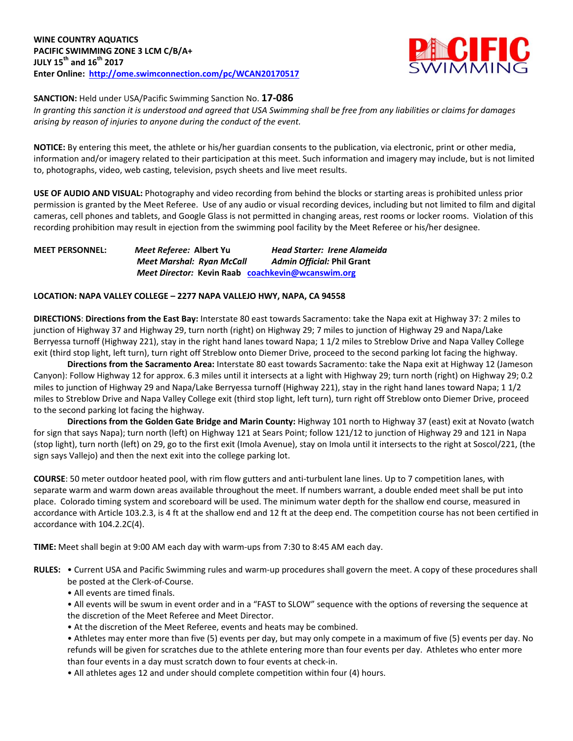

**SANCTION:** Held under USA/Pacific Swimming Sanction No. **17-086**

In granting this sanction it is understood and agreed that USA Swimming shall be free from any liabilities or claims for damages *arising by reason of injuries to anyone during the conduct of the event.*

**NOTICE:** By entering this meet, the athlete or his/her guardian consents to the publication, via electronic, print or other media, information and/or imagery related to their participation at this meet. Such information and imagery may include, but is not limited to, photographs, video, web casting, television, psych sheets and live meet results.

**USE OF AUDIO AND VISUAL:** Photography and video recording from behind the blocks or starting areas is prohibited unless prior permission is granted by the Meet Referee. Use of any audio or visual recording devices, including but not limited to film and digital cameras, cell phones and tablets, and Google Glass is not permitted in changing areas, rest rooms or locker rooms. Violation of this recording prohibition may result in ejection from the swimming pool facility by the Meet Referee or his/her designee.

**MEET PERSONNEL:** *Meet Referee:* **Albert Yu** *Head Starter: Irene Alameida Meet Marshal: Ryan McCall Admin Official:* **Phil Grant** *Meet Director:* **Kevin Raab [coachkevin@wcanswim.org](mailto:coachkevin@wcanswim.org)**

# **LOCATION: NAPA VALLEY COLLEGE – 2277 NAPA VALLEJO HWY, NAPA, CA 94558**

**DIRECTIONS**: **Directions from the East Bay:** Interstate 80 east towards Sacramento: take the Napa exit at Highway 37: 2 miles to junction of Highway 37 and Highway 29, turn north (right) on Highway 29; 7 miles to junction of Highway 29 and Napa/Lake Berryessa turnoff (Highway 221), stay in the right hand lanes toward Napa; 1 1/2 miles to Streblow Drive and Napa Valley College exit (third stop light, left turn), turn right off Streblow onto Diemer Drive, proceed to the second parking lot facing the highway.

**Directions from the Sacramento Area:** Interstate 80 east towards Sacramento: take the Napa exit at Highway 12 (Jameson Canyon): Follow Highway 12 for approx. 6.3 miles until it intersects at a light with Highway 29; turn north (right) on Highway 29; 0.2 miles to junction of Highway 29 and Napa/Lake Berryessa turnoff (Highway 221), stay in the right hand lanes toward Napa; 1 1/2 miles to Streblow Drive and Napa Valley College exit (third stop light, left turn), turn right off Streblow onto Diemer Drive, proceed to the second parking lot facing the highway.

**Directions from the Golden Gate Bridge and Marin County:** Highway 101 north to Highway 37 (east) exit at Novato (watch for sign that says Napa); turn north (left) on Highway 121 at Sears Point; follow 121/12 to junction of Highway 29 and 121 in Napa (stop light), turn north (left) on 29, go to the first exit (Imola Avenue), stay on Imola until it intersects to the right at Soscol/221, (the sign says Vallejo) and then the next exit into the college parking lot.

**COURSE**: 50 meter outdoor heated pool, with rim flow gutters and anti-turbulent lane lines. Up to 7 competition lanes, with separate warm and warm down areas available throughout the meet. If numbers warrant, a double ended meet shall be put into place. Colorado timing system and scoreboard will be used. The minimum water depth for the shallow end course, measured in accordance with Article 103.2.3, is 4 ft at the shallow end and 12 ft at the deep end. The competition course has not been certified in accordance with 104.2.2C(4).

**TIME:** Meet shall begin at 9:00 AM each day with warm-ups from 7:30 to 8:45 AM each day.

- **RULES:** Current USA and Pacific Swimming rules and warm-up procedures shall govern the meet. A copy of these procedures shall be posted at the Clerk-of-Course.
	- All events are timed finals.

• All events will be swum in event order and in a "FAST to SLOW" sequence with the options of reversing the sequence at the discretion of the Meet Referee and Meet Director.

- At the discretion of the Meet Referee, events and heats may be combined.
- Athletes may enter more than five (5) events per day, but may only compete in a maximum of five (5) events per day. No refunds will be given for scratches due to the athlete entering more than four events per day. Athletes who enter more than four events in a day must scratch down to four events at check-in.
- All athletes ages 12 and under should complete competition within four (4) hours.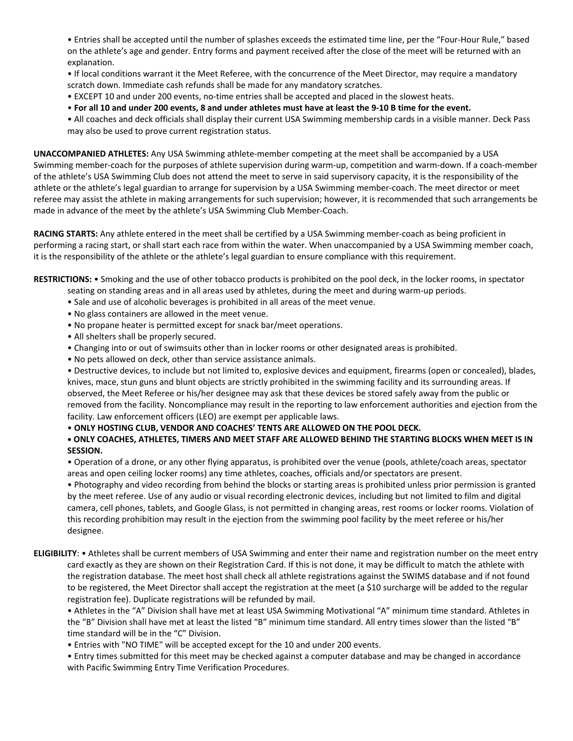• Entries shall be accepted until the number of splashes exceeds the estimated time line, per the "Four-Hour Rule," based on the athlete's age and gender. Entry forms and payment received after the close of the meet will be returned with an explanation.

• If local conditions warrant it the Meet Referee, with the concurrence of the Meet Director, may require a mandatory scratch down. Immediate cash refunds shall be made for any mandatory scratches.

• EXCEPT 10 and under 200 events, no-time entries shall be accepted and placed in the slowest heats.

. For all 10 and under 200 events, 8 and under athletes must have at least the 9-10 B time for the event.

• All coaches and deck officials shall display their current USA Swimming membership cards in a visible manner. Deck Pass may also be used to prove current registration status.

**UNACCOMPANIED ATHLETES:** Any USA Swimming athlete-member competing at the meet shall be accompanied by a USA Swimming member-coach for the purposes of athlete supervision during warm-up, competition and warm-down. If a coach-member of the athlete's USA Swimming Club does not attend the meet to serve in said supervisory capacity, it is the responsibility of the athlete or the athlete's legal guardian to arrange for supervision by a USA Swimming member-coach. The meet director or meet referee may assist the athlete in making arrangements for such supervision; however, it is recommended that such arrangements be made in advance of the meet by the athlete's USA Swimming Club Member-Coach.

**RACING STARTS:** Any athlete entered in the meet shall be certified by a USA Swimming member-coach as being proficient in performing a racing start, or shall start each race from within the water. When unaccompanied by a USA Swimming member coach, it is the responsibility of the athlete or the athlete's legal guardian to ensure compliance with this requirement.

**RESTRICTIONS:** • Smoking and the use of other tobacco products is prohibited on the pool deck, in the locker rooms, in spectator

- seating on standing areas and in all areas used by athletes, during the meet and during warm-up periods.
- Sale and use of alcoholic beverages is prohibited in all areas of the meet venue.
- No glass containers are allowed in the meet venue.
- No propane heater is permitted except for snack bar/meet operations.
- All shelters shall be properly secured.
- Changing into or out of swimsuits other than in locker rooms or other designated areas is prohibited.
- No pets allowed on deck, other than service assistance animals.

• Destructive devices, to include but not limited to, explosive devices and equipment, firearms (open or concealed), blades, knives, mace, stun guns and blunt objects are strictly prohibited in the swimming facility and its surrounding areas. If observed, the Meet Referee or his/her designee may ask that these devices be stored safely away from the public or removed from the facility. Noncompliance may result in the reporting to law enforcement authorities and ejection from the facility. Law enforcement officers (LEO) are exempt per applicable laws.

• **ONLY HOSTING CLUB, VENDOR AND COACHES' TENTS ARE ALLOWED ON THE POOL DECK.**

# . ONLY COACHES, ATHLETES, TIMERS AND MEET STAFF ARE ALLOWED BEHIND THE STARTING BLOCKS WHEN MEET IS IN **SESSION.**

• Operation of a drone, or any other flying apparatus, is prohibited over the venue (pools, athlete/coach areas, spectator areas and open ceiling locker rooms) any time athletes, coaches, officials and/or spectators are present.

• Photography and video recording from behind the blocks or starting areas is prohibited unless prior permission is granted by the meet referee. Use of any audio or visual recording electronic devices, including but not limited to film and digital camera, cell phones, tablets, and Google Glass, is not permitted in changing areas, rest rooms or locker rooms. Violation of this recording prohibition may result in the ejection from the swimming pool facility by the meet referee or his/her designee.

**ELIGIBILITY**: • Athletes shall be current members of USA Swimming and enter their name and registration number on the meet entry card exactly as they are shown on their Registration Card. If this is not done, it may be difficult to match the athlete with the registration database. The meet host shall check all athlete registrations against the SWIMS database and if not found to be registered, the Meet Director shall accept the registration at the meet (a \$10 surcharge will be added to the regular registration fee). Duplicate registrations will be refunded by mail.

• Athletes in the "A" Division shall have met at least USA Swimming Motivational "A" minimum time standard. Athletes in the "B" Division shall have met at least the listed "B" minimum time standard. All entry times slower than the listed "B" time standard will be in the "C" Division.

• Entries with "NO TIME" will be accepted except for the 10 and under 200 events.

• Entry times submitted for this meet may be checked against a computer database and may be changed in accordance with Pacific Swimming Entry Time Verification Procedures.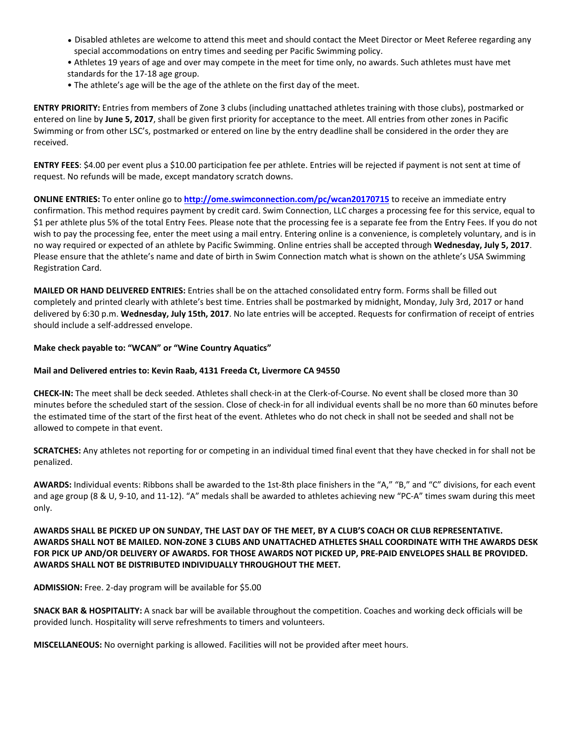- Disabled athletes are welcome to attend this meet and should contact the Meet Director or Meet Referee regarding any special accommodations on entry times and seeding per Pacific Swimming policy.
- Athletes 19 years of age and over may compete in the meet for time only, no awards. Such athletes must have met standards for the 17-18 age group.
- The athlete's age will be the age of the athlete on the first day of the meet.

**ENTRY PRIORITY:** Entries from members of Zone 3 clubs (including unattached athletes training with those clubs), postmarked or entered on line by **June 5, 2017**, shall be given first priority for acceptance to the meet. All entries from other zones in Pacific Swimming or from other LSC's, postmarked or entered on line by the entry deadline shall be considered in the order they are received.

**ENTRY FEES**: \$4.00 per event plus a \$10.00 participation fee per athlete. Entries will be rejected if payment is not sent at time of request. No refunds will be made, except mandatory scratch downs.

**ONLINE ENTRIES:** To enter online go to **<http://ome.swimconnection.com/pc/wcan20170715>** to receive an immediate entry confirmation. This method requires payment by credit card. Swim Connection, LLC charges a processing fee for this service, equal to \$1 per athlete plus 5% of the total Entry Fees. Please note that the processing fee is a separate fee from the Entry Fees. If you do not wish to pay the processing fee, enter the meet using a mail entry. Entering online is a convenience, is completely voluntary, and is in no way required or expected of an athlete by Pacific Swimming. Online entries shall be accepted through **Wednesday, July 5, 2017**. Please ensure that the athlete's name and date of birth in Swim Connection match what is shown on the athlete's USA Swimming Registration Card.

**MAILED OR HAND DELIVERED ENTRIES:** Entries shall be on the attached consolidated entry form. Forms shall be filled out completely and printed clearly with athlete's best time. Entries shall be postmarked by midnight, Monday, July 3rd, 2017 or hand delivered by 6:30 p.m. **Wednesday, July 15th, 2017**. No late entries will be accepted. Requests for confirmation of receipt of entries should include a self-addressed envelope.

### **Make check payable to: "WCAN" or "Wine Country Aquatics"**

## **Mail and Delivered entries to: Kevin Raab, 4131 Freeda Ct, Livermore CA 94550**

**CHECK-IN:** The meet shall be deck seeded. Athletes shall check-in at the Clerk-of-Course. No event shall be closed more than 30 minutes before the scheduled start of the session. Close of check-in for all individual events shall be no more than 60 minutes before the estimated time of the start of the first heat of the event. Athletes who do not check in shall not be seeded and shall not be allowed to compete in that event.

**SCRATCHES:** Any athletes not reporting for or competing in an individual timed final event that they have checked in for shall not be penalized.

**AWARDS:** Individual events: Ribbons shall be awarded to the 1st-8th place finishers in the "A," "B," and "C" divisions, for each event and age group (8 & U, 9-10, and 11-12). "A" medals shall be awarded to athletes achieving new "PC-A" times swam during this meet only.

# AWARDS SHALL BE PICKED UP ON SUNDAY, THE LAST DAY OF THE MEET, BY A CLUB'S COACH OR CLUB REPRESENTATIVE. AWARDS SHALL NOT BE MAILED. NON-ZONE 3 CLUBS AND UNATTACHED ATHLETES SHALL COORDINATE WITH THE AWARDS DESK FOR PICK UP AND/OR DELIVERY OF AWARDS. FOR THOSE AWARDS NOT PICKED UP, PRE-PAID ENVELOPES SHALL BE PROVIDED. **AWARDS SHALL NOT BE DISTRIBUTED INDIVIDUALLY THROUGHOUT THE MEET.**

**ADMISSION:** Free. 2-day program will be available for \$5.00

**SNACK BAR & HOSPITALITY:** A snack bar will be available throughout the competition. Coaches and working deck officials will be provided lunch. Hospitality will serve refreshments to timers and volunteers.

**MISCELLANEOUS:** No overnight parking is allowed. Facilities will not be provided after meet hours.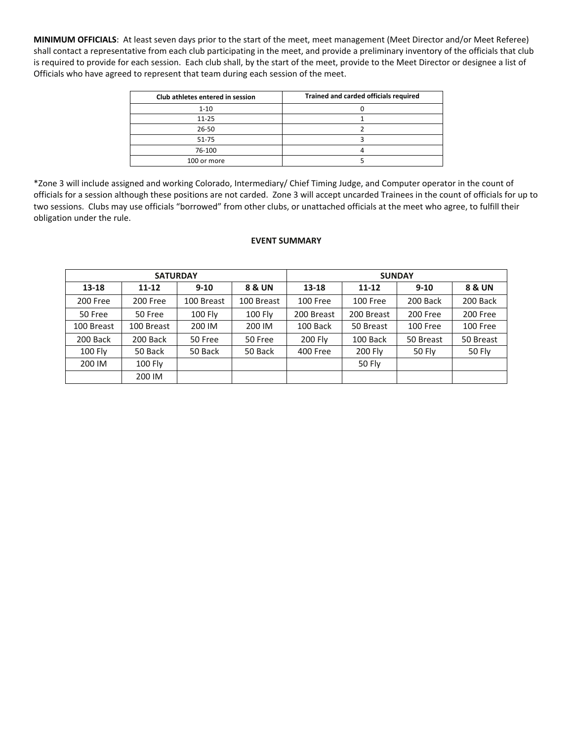**MINIMUM OFFICIALS**: At least seven days prior to the start of the meet, meet management (Meet Director and/or Meet Referee) shall contact a representative from each club participating in the meet, and provide a preliminary inventory of the officials that club is required to provide for each session. Each club shall, by the start of the meet, provide to the Meet Director or designee a list of Officials who have agreed to represent that team during each session of the meet.

| Club athletes entered in session | Trained and carded officials required |
|----------------------------------|---------------------------------------|
| $1 - 10$                         |                                       |
| $11 - 25$                        |                                       |
| 26-50                            |                                       |
| $51 - 75$                        |                                       |
| 76-100                           |                                       |
| 100 or more                      |                                       |

\*Zone 3 will include assigned and working Colorado, Intermediary/ Chief Timing Judge, and Computer operator in the count of officials for a session although these positions are not carded. Zone 3 will accept uncarded Trainees in the count of officials for up to two sessions. Clubs may use officials "borrowed" from other clubs, or unattached officials at the meet who agree, to fulfill their obligation under the rule.

### **EVENT SUMMARY**

| <b>SATURDAY</b> |            |                |                | <b>SUNDAY</b> |            |           |               |  |  |  |
|-----------------|------------|----------------|----------------|---------------|------------|-----------|---------------|--|--|--|
| $13 - 18$       | $11 - 12$  | $9 - 10$       | 8 & UN         | $13 - 18$     | $11 - 12$  | $9 - 10$  | 8 & UN        |  |  |  |
| 200 Free        | 200 Free   | 100 Breast     | 100 Breast     | 100 Free      | 100 Free   | 200 Back  | 200 Back      |  |  |  |
| 50 Free         | 50 Free    | <b>100 Fly</b> | <b>100 Fly</b> | 200 Breast    | 200 Breast | 200 Free  | 200 Free      |  |  |  |
| 100 Breast      | 100 Breast | 200 IM         | 200 IM         | 100 Back      | 50 Breast  | 100 Free  | 100 Free      |  |  |  |
| 200 Back        | 200 Back   | 50 Free        | 50 Free        | 200 Fly       | 100 Back   | 50 Breast | 50 Breast     |  |  |  |
| 100 Fly         | 50 Back    | 50 Back        | 50 Back        | 400 Free      | 200 Fly    | 50 Fly    | <b>50 Fly</b> |  |  |  |
| 200 IM          | 100 Fly    |                |                |               | 50 Fly     |           |               |  |  |  |
|                 | 200 IM     |                |                |               |            |           |               |  |  |  |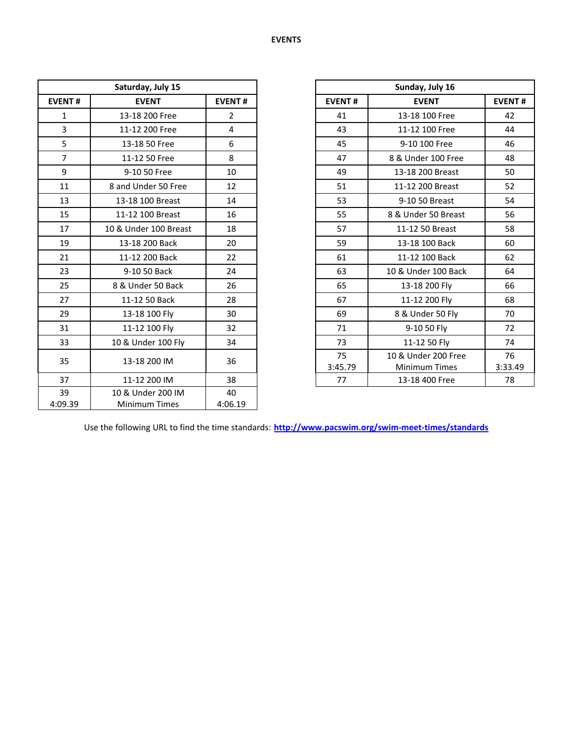| Saturday, July 15 |                                           |                |
|-------------------|-------------------------------------------|----------------|
| <b>EVENT#</b>     | <b>EVENT</b>                              | <b>EVENT#</b>  |
| $\mathbf{1}$      | 13-18 200 Free                            | $\overline{2}$ |
| 3                 | 11-12 200 Free                            | 4              |
| 5                 | 13-18 50 Free                             | 6              |
| $\overline{7}$    | 11-12 50 Free                             | 8              |
| 9                 | 9-10 50 Free                              | 10             |
| 11                | 8 and Under 50 Free                       | 12             |
| 13                | 13-18 100 Breast                          | 14             |
| 15                | 11-12 100 Breast                          | 16             |
| 17                | 10 & Under 100 Breast                     | 18             |
| 19                | 13-18 200 Back                            | 20             |
| 21                | 11-12 200 Back                            | 22             |
| 23                | 9-10 50 Back                              | 24             |
| 25                | 8 & Under 50 Back                         | 26             |
| 27                | 11-12 50 Back                             | 28             |
| 29                | 13-18 100 Fly                             | 30             |
| 31                | 11-12 100 Fly                             | 32             |
| 33                | 10 & Under 100 Fly                        | 34             |
| 35                | 13-18 200 IM                              | 36             |
| 37                | 11-12 200 IM                              | 38             |
| 39<br>4:09.39     | 10 & Under 200 IM<br><b>Minimum Times</b> | 40<br>4:06.19  |

| Saturday, July 15     |                |  |
|-----------------------|----------------|--|
| <b>EVENT</b>          | <b>EVENT#</b>  |  |
| 13-18 200 Free        | $\overline{2}$ |  |
| 11-12 200 Free        | 4              |  |
| 13-18 50 Free         | 6              |  |
| 11-12 50 Free         | 8              |  |
| 9-10 50 Free          | 10             |  |
| 8 and Under 50 Free   | 12             |  |
| 13-18 100 Breast      | 14             |  |
| 11-12 100 Breast      | 16             |  |
| 10 & Under 100 Breast | 18             |  |
| 13-18 200 Back        | 20             |  |
| 11-12 200 Back        | 22             |  |
| 9-10 50 Back          | 24             |  |
| 8 & Under 50 Back     | 26             |  |
| 11-12 50 Back         | 28             |  |
| 13-18 100 Fly         | 30             |  |
| 11-12 100 Fly         | 32             |  |
| 10 & Under 100 Fly    | 34             |  |
| 13-18 200 IM          | 36             |  |
| 11-12 200 IM          | 38             |  |
|                       |                |  |

Use the following URL to find the time standards: **<http://www.pacswim.org/swim-meet-times/standards>**